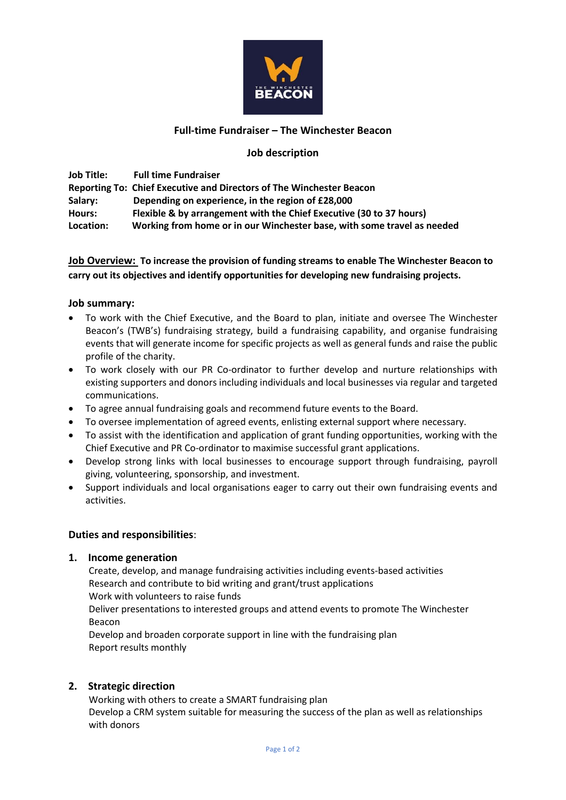

## **Full-time Fundraiser – The Winchester Beacon**

### **Job description**

**Job Title: Full time Fundraiser Reporting To: Chief Executive and Directors of The Winchester Beacon Salary: Depending on experience, in the region of £28,000 Hours: Flexible & by arrangement with the Chief Executive (30 to 37 hours) Location: Working from home or in our Winchester base, with some travel as needed**

## **Job Overview: To increase the provision of funding streams to enable The Winchester Beacon to carry out its objectives and identify opportunities for developing new fundraising projects.**

#### **Job summary:**

- To work with the Chief Executive, and the Board to plan, initiate and oversee The Winchester Beacon's (TWB's) fundraising strategy, build a fundraising capability, and organise fundraising events that will generate income for specific projects as well as general funds and raise the public profile of the charity.
- To work closely with our PR Co-ordinator to further develop and nurture relationships with existing supporters and donors including individuals and local businesses via regular and targeted communications.
- To agree annual fundraising goals and recommend future events to the Board.
- To oversee implementation of agreed events, enlisting external support where necessary.
- To assist with the identification and application of grant funding opportunities, working with the Chief Executive and PR Co-ordinator to maximise successful grant applications.
- Develop strong links with local businesses to encourage support through fundraising, payroll giving, volunteering, sponsorship, and investment.
- Support individuals and local organisations eager to carry out their own fundraising events and activities.

#### **Duties and responsibilities**:

#### **1. Income generation**

Create, develop, and manage fundraising activities including events-based activities Research and contribute to bid writing and grant/trust applications Work with volunteers to raise funds Deliver presentations to interested groups and attend events to promote The Winchester Beacon Develop and broaden corporate support in line with the fundraising plan

Report results monthly

#### **2. Strategic direction**

Working with others to create a SMART fundraising plan Develop a CRM system suitable for measuring the success of the plan as well as relationships with donors